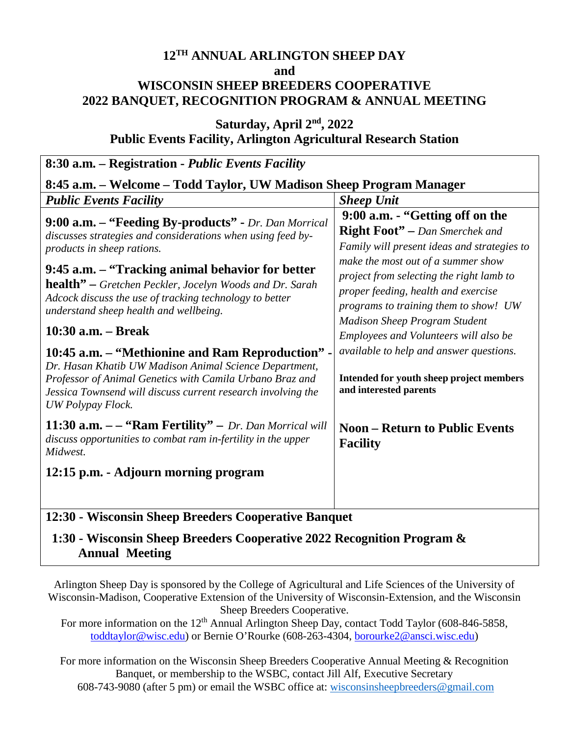## **12TH ANNUAL ARLINGTON SHEEP DAY and WISCONSIN SHEEP BREEDERS COOPERATIVE 2022 BANQUET, RECOGNITION PROGRAM & ANNUAL MEETING**

### **Saturday, April 2nd, 2022 Public Events Facility, Arlington Agricultural Research Station**

| 8:30 a.m. – Registration - Public Events Facility                                                                                                                                                                                                           |                                                                                                                                                                |  |  |  |
|-------------------------------------------------------------------------------------------------------------------------------------------------------------------------------------------------------------------------------------------------------------|----------------------------------------------------------------------------------------------------------------------------------------------------------------|--|--|--|
| 8:45 a.m. – Welcome – Todd Taylor, UW Madison Sheep Program Manager                                                                                                                                                                                         |                                                                                                                                                                |  |  |  |
| <b>Public Events Facility</b>                                                                                                                                                                                                                               | <b>Sheep Unit</b>                                                                                                                                              |  |  |  |
| 9:00 a.m. - "Feeding By-products" - Dr. Dan Morrical<br>discusses strategies and considerations when using feed by-<br>products in sheep rations.                                                                                                           | 9:00 a.m. - "Getting off on the<br><b>Right Foot"</b> – Dan Smerchek and<br>Family will present ideas and strategies to                                        |  |  |  |
| 9:45 a.m. – "Tracking animal behavior for better<br>health" - Gretchen Peckler, Jocelyn Woods and Dr. Sarah<br>Adcock discuss the use of tracking technology to better<br>understand sheep health and wellbeing.                                            | make the most out of a summer show<br>project from selecting the right lamb to<br>proper feeding, health and exercise<br>programs to training them to show! UW |  |  |  |
| 10:30 a.m. – Break                                                                                                                                                                                                                                          | <b>Madison Sheep Program Student</b><br>Employees and Volunteers will also be                                                                                  |  |  |  |
| 10:45 a.m. – "Methionine and Ram Reproduction" -<br>Dr. Hasan Khatib UW Madison Animal Science Department,<br>Professor of Animal Genetics with Camila Urbano Braz and<br>Jessica Townsend will discuss current research involving the<br>UW Polypay Flock. | available to help and answer questions.<br>Intended for youth sheep project members<br>and interested parents                                                  |  |  |  |
| 11:30 $a.m. -$ "Ram Fertility" – Dr. Dan Morrical will<br>discuss opportunities to combat ram in-fertility in the upper<br>Midwest.                                                                                                                         | <b>Noon – Return to Public Events</b><br><b>Facility</b>                                                                                                       |  |  |  |
| 12:15 p.m. - Adjourn morning program                                                                                                                                                                                                                        |                                                                                                                                                                |  |  |  |
| 12:30 - Wisconsin Sheep Breeders Cooperative Banquet                                                                                                                                                                                                        |                                                                                                                                                                |  |  |  |

## **1:30 - Wisconsin Sheep Breeders Cooperative 2022 Recognition Program & Annual Meeting**

Arlington Sheep Day is sponsored by the College of Agricultural and Life Sciences of the University of Wisconsin-Madison, Cooperative Extension of the University of Wisconsin-Extension, and the Wisconsin Sheep Breeders Cooperative.

For more information on the 12<sup>th</sup> Annual Arlington Sheep Day, contact Todd Taylor (608-846-5858, [toddtaylor@wisc.edu\)](mailto:toddtaylor@wisc.edu) or Bernie O'Rourke (608-263-4304, [borourke2@ansci.wisc.edu\)](mailto:borourke2@ansci.wisc.edu)

For more information on the Wisconsin Sheep Breeders Cooperative Annual Meeting & Recognition Banquet, or membership to the WSBC, contact Jill Alf, Executive Secretary 608-743-9080 (after 5 pm) or email the WSBC office at: [wisconsinsheepbreeders@gmail.com](mailto:wisconsinsheepbreeders@gmail.com)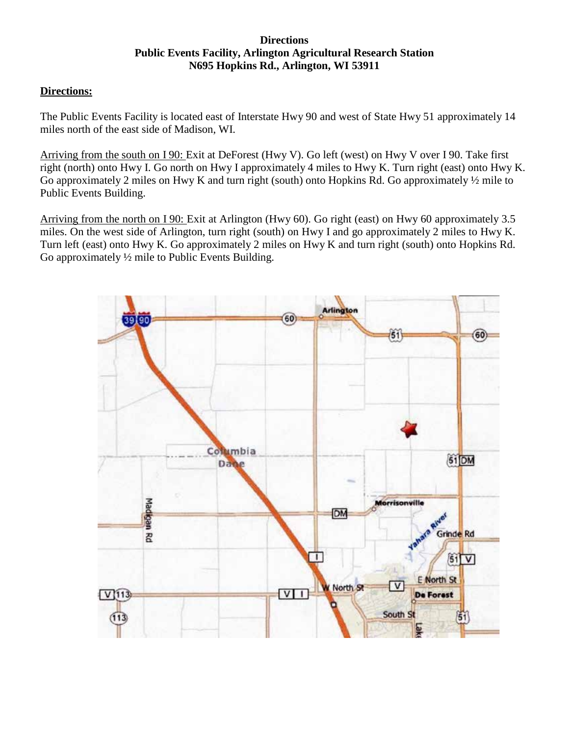#### **Directions Public Events Facility, Arlington Agricultural Research Station N695 Hopkins Rd., Arlington, WI 53911**

#### **Directions:**

The Public Events Facility is located east of Interstate Hwy 90 and west of State Hwy 51 approximately 14 miles north of the east side of Madison, WI.

Arriving from the south on I 90: Exit at DeForest (Hwy V). Go left (west) on Hwy V over I 90. Take first right (north) onto Hwy I. Go north on Hwy I approximately 4 miles to Hwy K. Turn right (east) onto Hwy K. Go approximately 2 miles on Hwy K and turn right (south) onto Hopkins Rd. Go approximately ½ mile to Public Events Building.

Arriving from the north on I 90: Exit at Arlington (Hwy 60). Go right (east) on Hwy 60 approximately 3.5 miles. On the west side of Arlington, turn right (south) on Hwy I and go approximately 2 miles to Hwy K. Turn left (east) onto Hwy K. Go approximately 2 miles on Hwy K and turn right (south) onto Hopkins Rd. Go approximately ½ mile to Public Events Building.